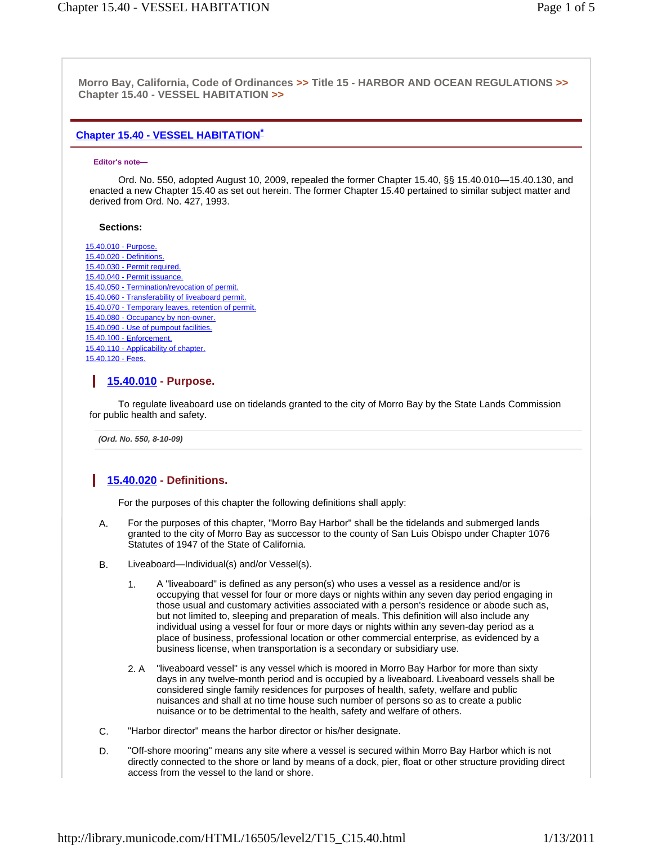**Morro Bay, California, Code of Ordinances >> Title 15 - HARBOR AND OCEAN REGULATIONS >> Chapter 15.40 - VESSEL HABITATION >>** 

#### **Chapter 15.40 - VESSEL HABITATION\***

#### **Editor's note—**

Ord. No. 550, adopted August 10, 2009, repealed the former Chapter 15.40, §§ 15.40.010—15.40.130, and enacted a new Chapter 15.40 as set out herein. The former Chapter 15.40 pertained to similar subject matter and derived from Ord. No. 427, 1993.

#### **Sections:**

15.40.010 - Purpose. 15.40.020 - Definitions. 15.40.030 - Permit required. 15.40.040 - Permit issuance. 15.40.050 - Termination/revocation of permit. 15.40.060 - Transferability of liveaboard permit. 15.40.070 - Temporary leaves, retention of permit. 15.40.080 - Occupancy by non-owner. 15.40.090 - Use of pumpout facilities. 15.40.100 - Enforcement. 15.40.110 - Applicability of chapter. 15.40.120 - Fees.

## **15.40.010 - Purpose.**

To regulate liveaboard use on tidelands granted to the city of Morro Bay by the State Lands Commission for public health and safety.

*(Ord. No. 550, 8-10-09)* 

## **15.40.020 - Definitions.**

For the purposes of this chapter the following definitions shall apply:

- A. For the purposes of this chapter, "Morro Bay Harbor" shall be the tidelands and submerged lands granted to the city of Morro Bay as successor to the county of San Luis Obispo under Chapter 1076 Statutes of 1947 of the State of California.
- B. Liveaboard—Individual(s) and/or Vessel(s).
	- 1. A "liveaboard" is defined as any person(s) who uses a vessel as a residence and/or is occupying that vessel for four or more days or nights within any seven day period engaging in those usual and customary activities associated with a person's residence or abode such as, but not limited to, sleeping and preparation of meals. This definition will also include any individual using a vessel for four or more days or nights within any seven-day period as a place of business, professional location or other commercial enterprise, as evidenced by a business license, when transportation is a secondary or subsidiary use.
	- 2. A "liveaboard vessel" is any vessel which is moored in Morro Bay Harbor for more than sixty days in any twelve-month period and is occupied by a liveaboard. Liveaboard vessels shall be considered single family residences for purposes of health, safety, welfare and public nuisances and shall at no time house such number of persons so as to create a public nuisance or to be detrimental to the health, safety and welfare of others.
- C. "Harbor director" means the harbor director or his/her designate.
- D. "Off-shore mooring" means any site where a vessel is secured within Morro Bay Harbor which is not directly connected to the shore or land by means of a dock, pier, float or other structure providing direct access from the vessel to the land or shore.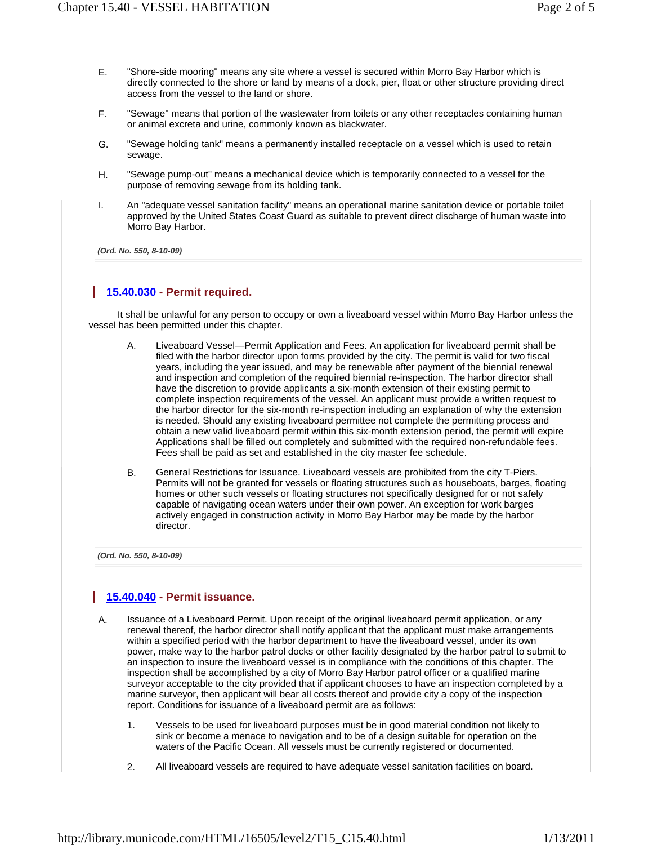- E. "Shore-side mooring" means any site where a vessel is secured within Morro Bay Harbor which is directly connected to the shore or land by means of a dock, pier, float or other structure providing direct access from the vessel to the land or shore.
- F. "Sewage" means that portion of the wastewater from toilets or any other receptacles containing human or animal excreta and urine, commonly known as blackwater.
- G. "Sewage holding tank" means a permanently installed receptacle on a vessel which is used to retain sewage.
- H. "Sewage pump-out" means a mechanical device which is temporarily connected to a vessel for the purpose of removing sewage from its holding tank.
- I. An "adequate vessel sanitation facility" means an operational marine sanitation device or portable toilet approved by the United States Coast Guard as suitable to prevent direct discharge of human waste into Morro Bay Harbor.

*(Ord. No. 550, 8-10-09)* 

#### **15.40.030 - Permit required.**

It shall be unlawful for any person to occupy or own a liveaboard vessel within Morro Bay Harbor unless the vessel has been permitted under this chapter.

- A. Liveaboard Vessel—Permit Application and Fees. An application for liveaboard permit shall be filed with the harbor director upon forms provided by the city. The permit is valid for two fiscal years, including the year issued, and may be renewable after payment of the biennial renewal and inspection and completion of the required biennial re-inspection. The harbor director shall have the discretion to provide applicants a six-month extension of their existing permit to complete inspection requirements of the vessel. An applicant must provide a written request to the harbor director for the six-month re-inspection including an explanation of why the extension is needed. Should any existing liveaboard permittee not complete the permitting process and obtain a new valid liveaboard permit within this six-month extension period, the permit will expire Applications shall be filled out completely and submitted with the required non-refundable fees. Fees shall be paid as set and established in the city master fee schedule.
- B. General Restrictions for Issuance. Liveaboard vessels are prohibited from the city T-Piers. Permits will not be granted for vessels or floating structures such as houseboats, barges, floating homes or other such vessels or floating structures not specifically designed for or not safely capable of navigating ocean waters under their own power. An exception for work barges actively engaged in construction activity in Morro Bay Harbor may be made by the harbor director.

*(Ord. No. 550, 8-10-09)* 

### **15.40.040 - Permit issuance.**

- A. Issuance of a Liveaboard Permit. Upon receipt of the original liveaboard permit application, or any renewal thereof, the harbor director shall notify applicant that the applicant must make arrangements within a specified period with the harbor department to have the liveaboard vessel, under its own power, make way to the harbor patrol docks or other facility designated by the harbor patrol to submit to an inspection to insure the liveaboard vessel is in compliance with the conditions of this chapter. The inspection shall be accomplished by a city of Morro Bay Harbor patrol officer or a qualified marine surveyor acceptable to the city provided that if applicant chooses to have an inspection completed by a marine surveyor, then applicant will bear all costs thereof and provide city a copy of the inspection report. Conditions for issuance of a liveaboard permit are as follows:
	- 1. Vessels to be used for liveaboard purposes must be in good material condition not likely to sink or become a menace to navigation and to be of a design suitable for operation on the waters of the Pacific Ocean. All vessels must be currently registered or documented.
	- 2. All liveaboard vessels are required to have adequate vessel sanitation facilities on board.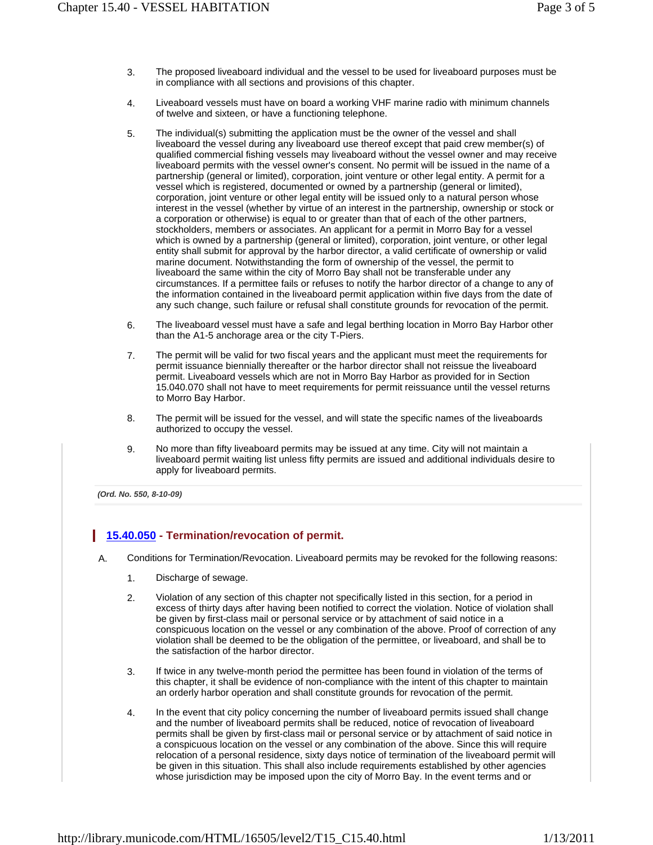- 3. The proposed liveaboard individual and the vessel to be used for liveaboard purposes must be in compliance with all sections and provisions of this chapter.
- 4. Liveaboard vessels must have on board a working VHF marine radio with minimum channels of twelve and sixteen, or have a functioning telephone.
- 5. The individual(s) submitting the application must be the owner of the vessel and shall liveaboard the vessel during any liveaboard use thereof except that paid crew member(s) of qualified commercial fishing vessels may liveaboard without the vessel owner and may receive liveaboard permits with the vessel owner's consent. No permit will be issued in the name of a partnership (general or limited), corporation, joint venture or other legal entity. A permit for a vessel which is registered, documented or owned by a partnership (general or limited), corporation, joint venture or other legal entity will be issued only to a natural person whose interest in the vessel (whether by virtue of an interest in the partnership, ownership or stock or a corporation or otherwise) is equal to or greater than that of each of the other partners, stockholders, members or associates. An applicant for a permit in Morro Bay for a vessel which is owned by a partnership (general or limited), corporation, joint venture, or other legal entity shall submit for approval by the harbor director, a valid certificate of ownership or valid marine document. Notwithstanding the form of ownership of the vessel, the permit to liveaboard the same within the city of Morro Bay shall not be transferable under any circumstances. If a permittee fails or refuses to notify the harbor director of a change to any of the information contained in the liveaboard permit application within five days from the date of any such change, such failure or refusal shall constitute grounds for revocation of the permit.
- 6. The liveaboard vessel must have a safe and legal berthing location in Morro Bay Harbor other than the A1-5 anchorage area or the city T-Piers.
- 7. The permit will be valid for two fiscal years and the applicant must meet the requirements for permit issuance biennially thereafter or the harbor director shall not reissue the liveaboard permit. Liveaboard vessels which are not in Morro Bay Harbor as provided for in Section 15.040.070 shall not have to meet requirements for permit reissuance until the vessel returns to Morro Bay Harbor.
- 8. The permit will be issued for the vessel, and will state the specific names of the liveaboards authorized to occupy the vessel.
- 9. No more than fifty liveaboard permits may be issued at any time. City will not maintain a liveaboard permit waiting list unless fifty permits are issued and additional individuals desire to apply for liveaboard permits.

*(Ord. No. 550, 8-10-09)* 

### **15.40.050 - Termination/revocation of permit.**

A. Conditions for Termination/Revocation. Liveaboard permits may be revoked for the following reasons:

- 1. Discharge of sewage.
- 2. Violation of any section of this chapter not specifically listed in this section, for a period in excess of thirty days after having been notified to correct the violation. Notice of violation shall be given by first-class mail or personal service or by attachment of said notice in a conspicuous location on the vessel or any combination of the above. Proof of correction of any violation shall be deemed to be the obligation of the permittee, or liveaboard, and shall be to the satisfaction of the harbor director.
- 3. If twice in any twelve-month period the permittee has been found in violation of the terms of this chapter, it shall be evidence of non-compliance with the intent of this chapter to maintain an orderly harbor operation and shall constitute grounds for revocation of the permit.
- 4. In the event that city policy concerning the number of liveaboard permits issued shall change and the number of liveaboard permits shall be reduced, notice of revocation of liveaboard permits shall be given by first-class mail or personal service or by attachment of said notice in a conspicuous location on the vessel or any combination of the above. Since this will require relocation of a personal residence, sixty days notice of termination of the liveaboard permit will be given in this situation. This shall also include requirements established by other agencies whose jurisdiction may be imposed upon the city of Morro Bay. In the event terms and or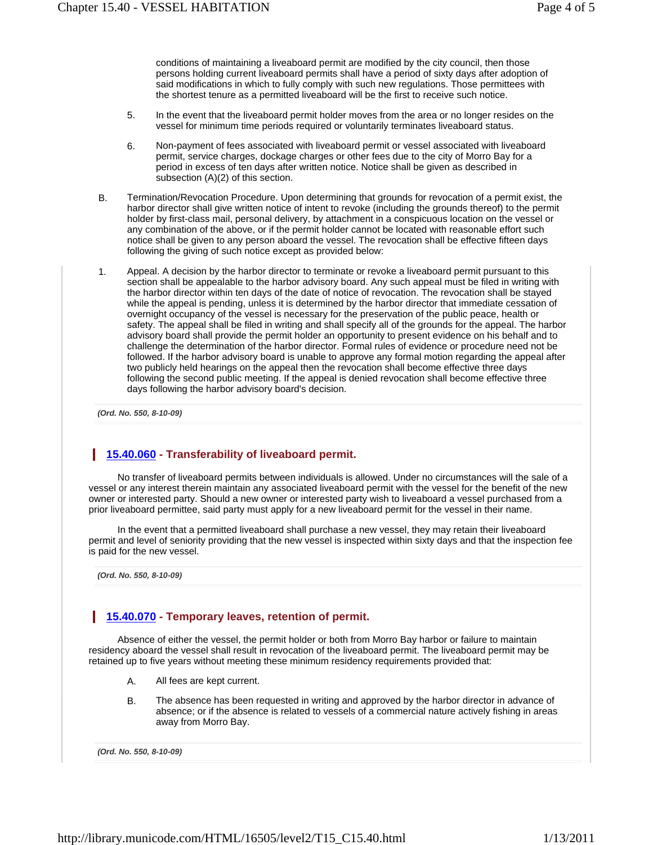conditions of maintaining a liveaboard permit are modified by the city council, then those persons holding current liveaboard permits shall have a period of sixty days after adoption of said modifications in which to fully comply with such new regulations. Those permittees with the shortest tenure as a permitted liveaboard will be the first to receive such notice.

- 5. In the event that the liveaboard permit holder moves from the area or no longer resides on the vessel for minimum time periods required or voluntarily terminates liveaboard status.
- 6. Non-payment of fees associated with liveaboard permit or vessel associated with liveaboard permit, service charges, dockage charges or other fees due to the city of Morro Bay for a period in excess of ten days after written notice. Notice shall be given as described in subsection (A)(2) of this section.
- B. Termination/Revocation Procedure. Upon determining that grounds for revocation of a permit exist, the harbor director shall give written notice of intent to revoke (including the grounds thereof) to the permit holder by first-class mail, personal delivery, by attachment in a conspicuous location on the vessel or any combination of the above, or if the permit holder cannot be located with reasonable effort such notice shall be given to any person aboard the vessel. The revocation shall be effective fifteen days following the giving of such notice except as provided below:
- 1. Appeal. A decision by the harbor director to terminate or revoke a liveaboard permit pursuant to this section shall be appealable to the harbor advisory board. Any such appeal must be filed in writing with the harbor director within ten days of the date of notice of revocation. The revocation shall be stayed while the appeal is pending, unless it is determined by the harbor director that immediate cessation of overnight occupancy of the vessel is necessary for the preservation of the public peace, health or safety. The appeal shall be filed in writing and shall specify all of the grounds for the appeal. The harbor advisory board shall provide the permit holder an opportunity to present evidence on his behalf and to challenge the determination of the harbor director. Formal rules of evidence or procedure need not be followed. If the harbor advisory board is unable to approve any formal motion regarding the appeal after two publicly held hearings on the appeal then the revocation shall become effective three days following the second public meeting. If the appeal is denied revocation shall become effective three days following the harbor advisory board's decision.

*(Ord. No. 550, 8-10-09)* 

## **15.40.060 - Transferability of liveaboard permit.**

No transfer of liveaboard permits between individuals is allowed. Under no circumstances will the sale of a vessel or any interest therein maintain any associated liveaboard permit with the vessel for the benefit of the new owner or interested party. Should a new owner or interested party wish to liveaboard a vessel purchased from a prior liveaboard permittee, said party must apply for a new liveaboard permit for the vessel in their name.

In the event that a permitted liveaboard shall purchase a new vessel, they may retain their liveaboard permit and level of seniority providing that the new vessel is inspected within sixty days and that the inspection fee is paid for the new vessel.

*(Ord. No. 550, 8-10-09)* 

## **15.40.070 - Temporary leaves, retention of permit.**

Absence of either the vessel, the permit holder or both from Morro Bay harbor or failure to maintain residency aboard the vessel shall result in revocation of the liveaboard permit. The liveaboard permit may be retained up to five years without meeting these minimum residency requirements provided that:

- A. All fees are kept current.
- B. The absence has been requested in writing and approved by the harbor director in advance of absence; or if the absence is related to vessels of a commercial nature actively fishing in areas away from Morro Bay.

*(Ord. No. 550, 8-10-09)*